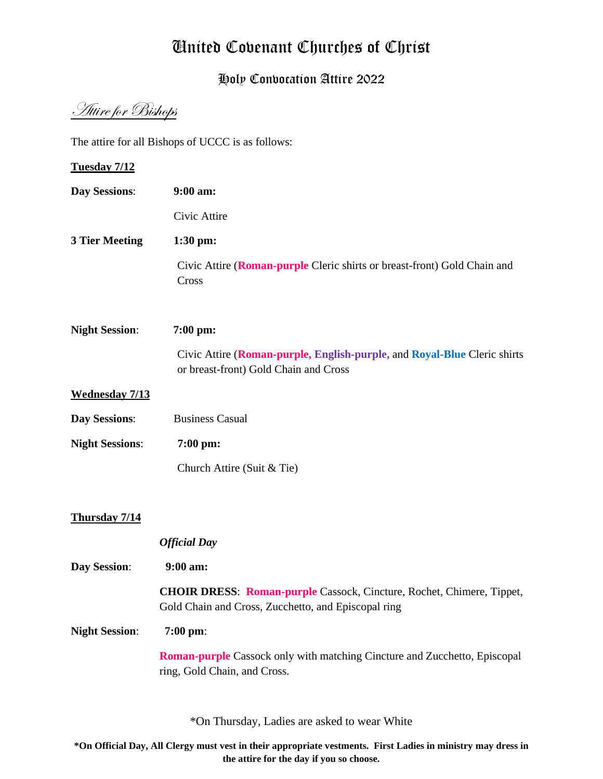# United Covenant Churches of Christ

## Holy Convocation Attire 2022

Attire for Bishops

The attire for all Bishops of UCCC is as follows:

**Tuesday 7/12 Day Sessions**: **9:00 am:** Civic Attire **3 Tier Meeting 1:30 pm:**  Civic Attire (**Roman-purple** Cleric shirts or breast-front) Gold Chain and Cross **Night Session**: **7:00 pm:** Civic Attire (**Roman-purple, English-purple,** and **Royal-Blue** Cleric shirts or breast-front) Gold Chain and Cross **Wednesday 7/13 Day Sessions:** Business Casual **Night Sessions**: **7:00 pm:** Church Attire (Suit & Tie) **Thursday 7/14** *Official Day*  **Day Session**: **9:00 am: CHOIR DRESS**: **Roman-purple** Cassock, Cincture, Rochet, Chimere, Tippet, Gold Chain and Cross, Zucchetto, and Episcopal ring **Night Session**: **7:00 pm**: **Roman-purple** Cassock only with matching Cincture and Zucchetto, Episcopal ring, Gold Chain, and Cross.

\*On Thursday, Ladies are asked to wear White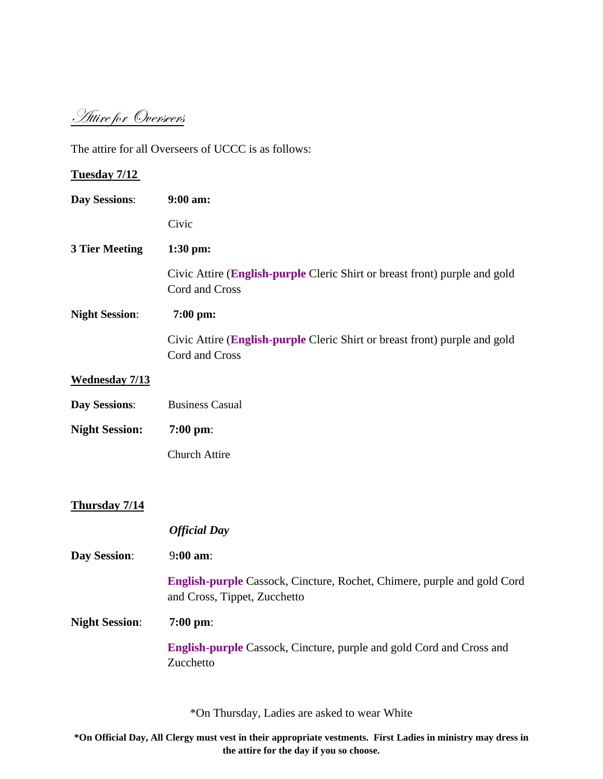Attire for Overseers

The attire for all Overseers of UCCC is as follows:

| <b>Tuesday 7/12</b>   |                                                                                                                |
|-----------------------|----------------------------------------------------------------------------------------------------------------|
| <b>Day Sessions:</b>  | 9:00 am:                                                                                                       |
|                       | Civic                                                                                                          |
| <b>3 Tier Meeting</b> | 1:30 pm:                                                                                                       |
|                       | Civic Attire (English-purple Cleric Shirt or breast front) purple and gold<br>Cord and Cross                   |
| <b>Night Session:</b> | 7:00 pm:                                                                                                       |
|                       | Civic Attire (English-purple Cleric Shirt or breast front) purple and gold<br>Cord and Cross                   |
| <b>Wednesday 7/13</b> |                                                                                                                |
| <b>Day Sessions:</b>  | <b>Business Casual</b>                                                                                         |
| <b>Night Session:</b> | $7:00$ pm:                                                                                                     |
|                       | <b>Church Attire</b>                                                                                           |
| <b>Thursday 7/14</b>  |                                                                                                                |
|                       | <b>Official Day</b>                                                                                            |
| <b>Day Session:</b>   | 9:00 am:                                                                                                       |
|                       | <b>English-purple Cassock, Cincture, Rochet, Chimere, purple and gold Cord</b><br>and Cross, Tippet, Zucchetto |
| <b>Night Session:</b> | $7:00 \text{ pm}$ :                                                                                            |
|                       | <b>English-purple Cassock, Cincture, purple and gold Cord and Cross and</b><br>Zucchetto                       |
|                       |                                                                                                                |

\*On Thursday, Ladies are asked to wear White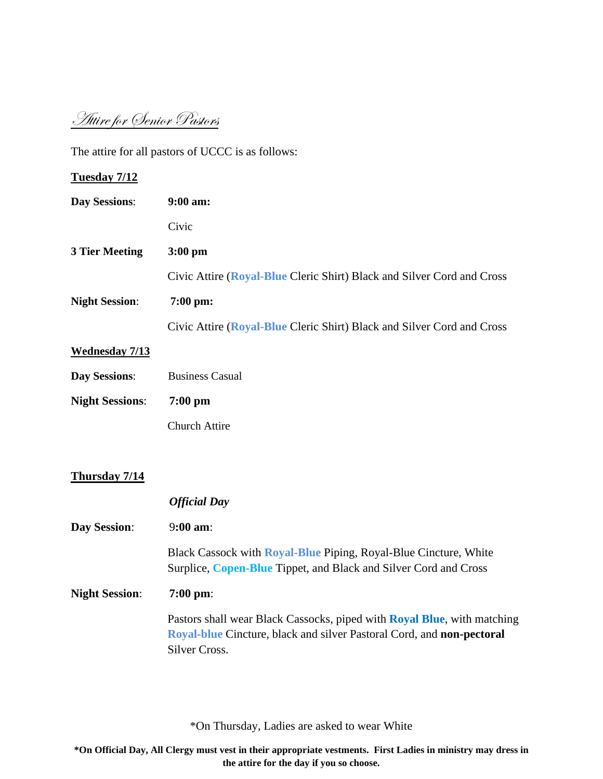Attire for Senior Pastors

The attire for all pastors of UCCC is as follows:

| Tuesday 7/12           |                                                                                                                                                                           |
|------------------------|---------------------------------------------------------------------------------------------------------------------------------------------------------------------------|
| <b>Day Sessions:</b>   | 9:00 am:                                                                                                                                                                  |
|                        | Civic                                                                                                                                                                     |
| <b>3 Tier Meeting</b>  | 3:00 pm                                                                                                                                                                   |
|                        | Civic Attire (Royal-Blue Cleric Shirt) Black and Silver Cord and Cross                                                                                                    |
| <b>Night Session:</b>  | 7:00 pm:                                                                                                                                                                  |
|                        | Civic Attire (Royal-Blue Cleric Shirt) Black and Silver Cord and Cross                                                                                                    |
| <b>Wednesday 7/13</b>  |                                                                                                                                                                           |
| <b>Day Sessions:</b>   | <b>Business Casual</b>                                                                                                                                                    |
| <b>Night Sessions:</b> | $7:00$ pm                                                                                                                                                                 |
|                        | <b>Church Attire</b>                                                                                                                                                      |
|                        |                                                                                                                                                                           |
| Thursday 7/14          |                                                                                                                                                                           |
|                        | <b>Official Day</b>                                                                                                                                                       |
| <b>Day Session:</b>    | 9:00 am:                                                                                                                                                                  |
|                        | Black Cassock with <b>Royal-Blue</b> Piping, Royal-Blue Cincture, White<br>Surplice, Copen-Blue Tippet, and Black and Silver Cord and Cross                               |
| <b>Night Session:</b>  | $7:00 \text{ pm}$                                                                                                                                                         |
|                        | Pastors shall wear Black Cassocks, piped with <b>Royal Blue</b> , with matching<br>Royal-blue Cincture, black and silver Pastoral Cord, and non-pectoral<br>Silver Cross. |
|                        |                                                                                                                                                                           |

\*On Thursday, Ladies are asked to wear White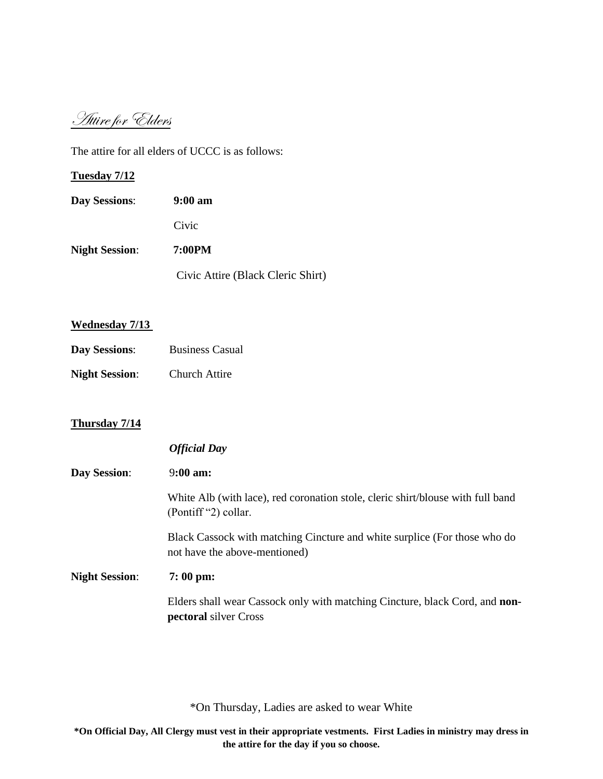Attire for Elders

The attire for all elders of UCCC is as follows:

**Tuesday 7/12** 

| <b>Day Sessions:</b>  | $9:00 \text{ am}$                 |
|-----------------------|-----------------------------------|
|                       | Civic                             |
| <b>Night Session:</b> | 7:00PM                            |
|                       | Civic Attire (Black Cleric Shirt) |

### **Wednesday 7/13**

**Day Sessions:** Business Casual **Night Session**: Church Attire

## **Thursday 7/14**

|                       | <b>Official Day</b>                                                                                                |
|-----------------------|--------------------------------------------------------------------------------------------------------------------|
| <b>Day Session:</b>   | $9:00 \text{ am}:$                                                                                                 |
|                       | White Alb (with lace), red coronation stole, cleric shirt/blouse with full band<br>(Pontiff "2) collar.            |
|                       | Black Cassock with matching Cincture and white surplice (For those who do<br>not have the above-mentioned)         |
| <b>Night Session:</b> | $7:00 \text{ pm}$                                                                                                  |
|                       | Elders shall wear Cassock only with matching Cincture, black Cord, and <b>non-</b><br><b>pectoral</b> silver Cross |

\*On Thursday, Ladies are asked to wear White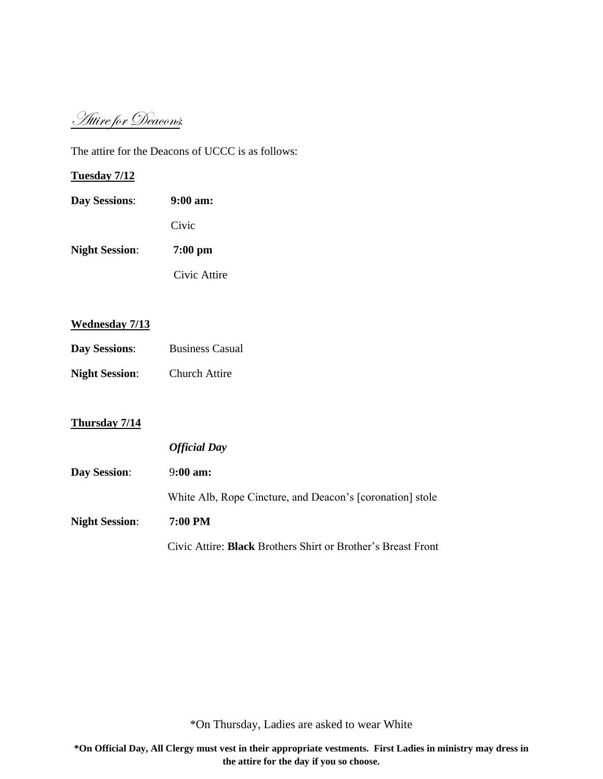Attire for Deacons:

The attire for the Deacons of UCCC is as follows:

## **Tuesday 7/12**

**Day Sessions**: **9:00 am:** Civic **Night Session**: **7:00 pm** Civic Attire

#### **Wednesday 7/13**

- **Day Sessions:** Business Casual
- **Night Session**: Church Attire

## **Thursday 7/14**

|                       | <b>Official Day</b>                                                 |
|-----------------------|---------------------------------------------------------------------|
| <b>Day Session:</b>   | $9:00 \text{ am}:$                                                  |
|                       | White Alb, Rope Cincture, and Deacon's [coronation] stole           |
| <b>Night Session:</b> | 7:00 PM                                                             |
|                       | Civic Attire: <b>Black</b> Brothers Shirt or Brother's Breast Front |

\*On Thursday, Ladies are asked to wear White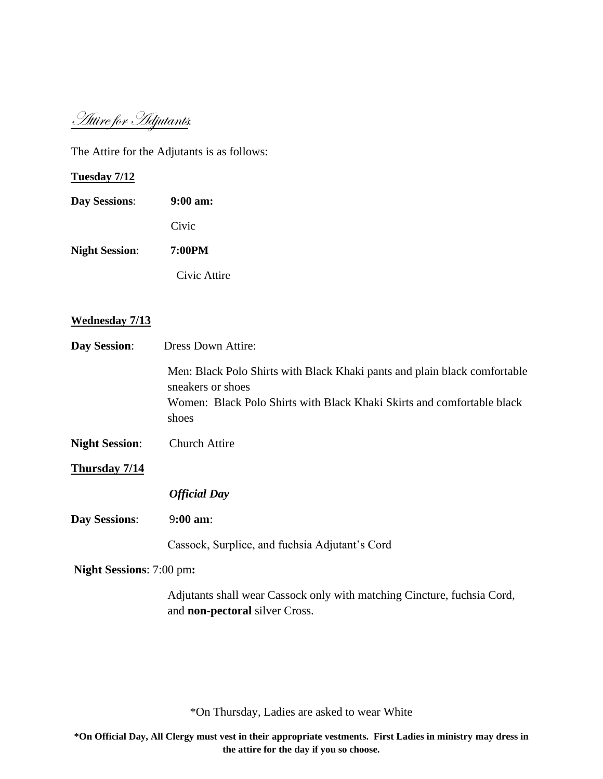Attire for Adjutants:

The Attire for the Adjutants is as follows:

#### **Tuesday 7/12**

**Day Sessions**: **9:00 am:** Civic **Night Session**: **7:00PM**

Civic Attire

#### **Wednesday 7/13**

| <b>Day Session:</b>   | <b>Dress Down Attire:</b>                                                                                                                                                         |
|-----------------------|-----------------------------------------------------------------------------------------------------------------------------------------------------------------------------------|
|                       | Men: Black Polo Shirts with Black Khaki pants and plain black comfortable<br>sneakers or shoes<br>Women: Black Polo Shirts with Black Khaki Skirts and comfortable black<br>shoes |
| <b>Night Session:</b> | <b>Church Attire</b>                                                                                                                                                              |
| Thursday 7/14         |                                                                                                                                                                                   |
|                       | <b>Official Day</b>                                                                                                                                                               |
| <b>Day Sessions:</b>  | $9:00$ am:                                                                                                                                                                        |
|                       |                                                                                                                                                                                   |

Cassock, Surplice, and fuchsia Adjutant's Cord

**Night Sessions**: 7:00 pm**:**

Adjutants shall wear Cassock only with matching Cincture, fuchsia Cord, and **non-pectoral** silver Cross.

\*On Thursday, Ladies are asked to wear White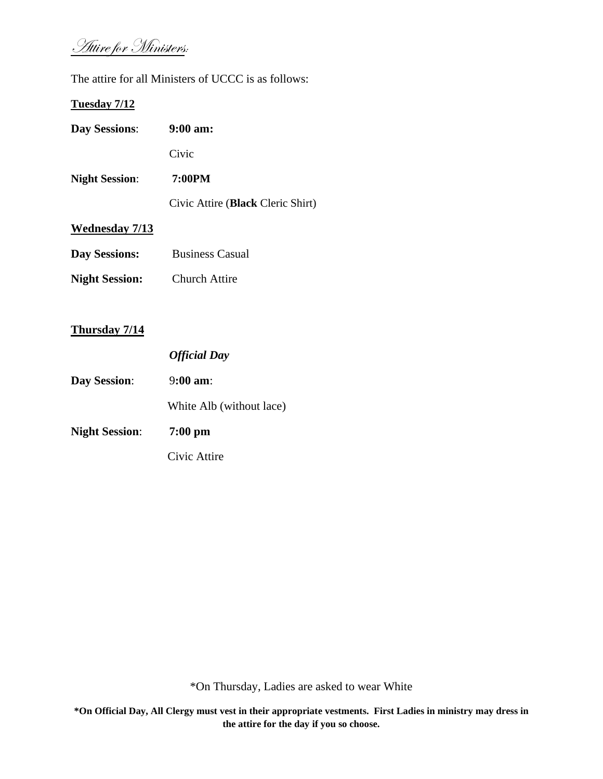Attire for Ministers:

The attire for all Ministers of UCCC is as follows:

## **Tuesday 7/12**

| <b>Day Sessions:</b>  | $9:00$ am:                        |
|-----------------------|-----------------------------------|
|                       | Civic                             |
| <b>Night Session:</b> | 7:00PM                            |
|                       | Civic Attire (Black Cleric Shirt) |
| <b>Wednesday 7/13</b> |                                   |
| <b>Day Sessions:</b>  | <b>Business Casual</b>            |
| <b>Night Session:</b> | <b>Church Attire</b>              |

## **Thursday 7/14**

|                       | <b>Official Day</b>      |
|-----------------------|--------------------------|
| <b>Day Session:</b>   | $9:00 \text{ am}$        |
|                       | White Alb (without lace) |
| <b>Night Session:</b> | $7:00$ pm                |
|                       | Civic Attire             |

\*On Thursday, Ladies are asked to wear White